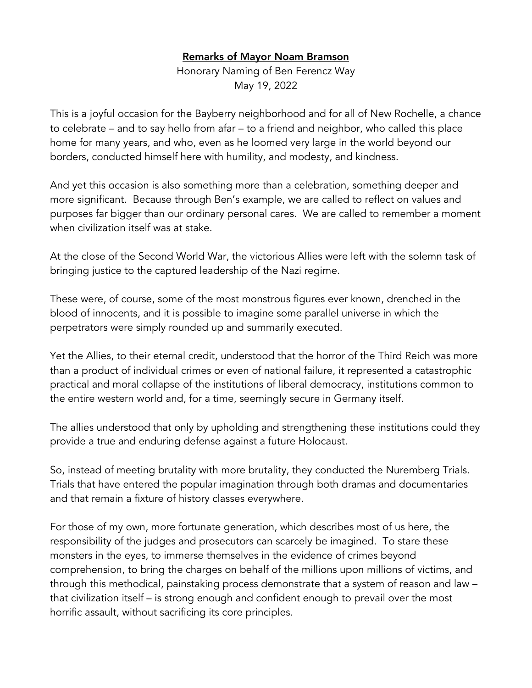## Remarks of Mayor Noam Bramson

Honorary Naming of Ben Ferencz Way May 19, 2022

This is a joyful occasion for the Bayberry neighborhood and for all of New Rochelle, a chance to celebrate – and to say hello from afar – to a friend and neighbor, who called this place home for many years, and who, even as he loomed very large in the world beyond our borders, conducted himself here with humility, and modesty, and kindness.

And yet this occasion is also something more than a celebration, something deeper and more significant. Because through Ben's example, we are called to reflect on values and purposes far bigger than our ordinary personal cares. We are called to remember a moment when civilization itself was at stake.

At the close of the Second World War, the victorious Allies were left with the solemn task of bringing justice to the captured leadership of the Nazi regime.

These were, of course, some of the most monstrous figures ever known, drenched in the blood of innocents, and it is possible to imagine some parallel universe in which the perpetrators were simply rounded up and summarily executed.

Yet the Allies, to their eternal credit, understood that the horror of the Third Reich was more than a product of individual crimes or even of national failure, it represented a catastrophic practical and moral collapse of the institutions of liberal democracy, institutions common to the entire western world and, for a time, seemingly secure in Germany itself.

The allies understood that only by upholding and strengthening these institutions could they provide a true and enduring defense against a future Holocaust.

So, instead of meeting brutality with more brutality, they conducted the Nuremberg Trials. Trials that have entered the popular imagination through both dramas and documentaries and that remain a fixture of history classes everywhere.

For those of my own, more fortunate generation, which describes most of us here, the responsibility of the judges and prosecutors can scarcely be imagined. To stare these monsters in the eyes, to immerse themselves in the evidence of crimes beyond comprehension, to bring the charges on behalf of the millions upon millions of victims, and through this methodical, painstaking process demonstrate that a system of reason and law – that civilization itself – is strong enough and confident enough to prevail over the most horrific assault, without sacrificing its core principles.